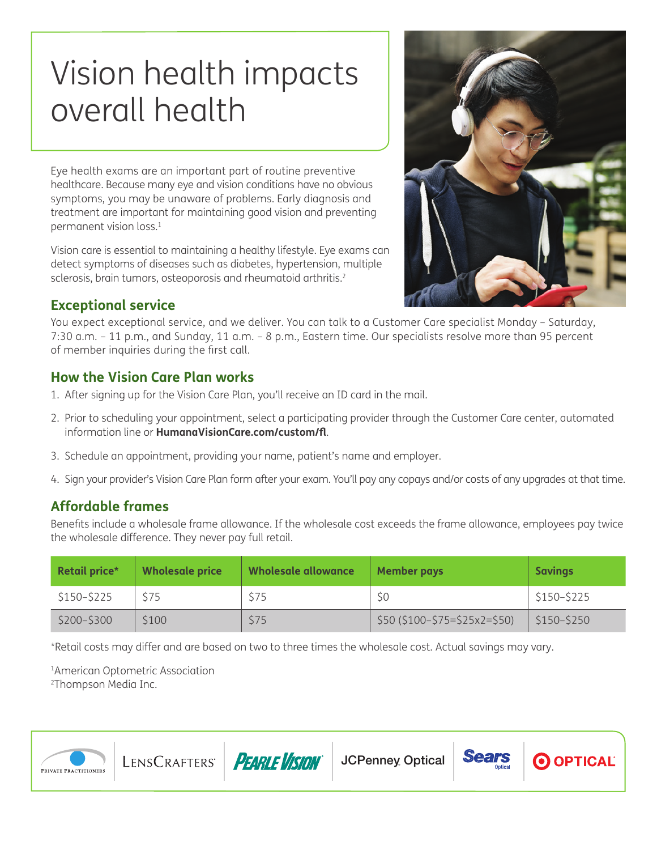# Vision health impacts overall health

Eye health exams are an important part of routine preventive healthcare. Because many eye and vision conditions have no obvious symptoms, you may be unaware of problems. Early diagnosis and treatment are important for maintaining good vision and preventing permanent vision loss.1

Vision care is essential to maintaining a healthy lifestyle. Eye exams can detect symptoms of diseases such as diabetes, hypertension, multiple sclerosis, brain tumors, osteoporosis and rheumatoid arthritis.<sup>2</sup>



## **Exceptional service**

You expect exceptional service, and we deliver. You can talk to a Customer Care specialist Monday – Saturday, 7:30 a.m. – 11 p.m., and Sunday, 11 a.m. – 8 p.m., Eastern time. Our specialists resolve more than 95 percent of member inquiries during the first call.

## **How the Vision Care Plan works**

- 1. After signing up for the Vision Care Plan, you'll receive an ID card in the mail.
- 2. Prior to scheduling your appointment, select a participating provider through the Customer Care center, automated information line or **[HumanaVisionCare.com/custom/fl](http://HumanaVisionCare.com/custom/fl)**.
- 3. Schedule an appointment, providing your name, patient's name and employer.
- 4. Sign your provider's Vision Care Plan form after your exam. You'll pay any copays and/or costs of any upgrades at that time.

# **Affordable frames**

Benefits include a wholesale frame allowance. If the wholesale cost exceeds the frame allowance, employees pay twice the wholesale difference. They never pay full retail.

| Retail price* | <b>Wholesale price</b> | Wholesale allowance | <b>Member pays</b>            | <b>Savings</b> |
|---------------|------------------------|---------------------|-------------------------------|----------------|
| \$150-\$225   | \$75                   | \$75                | SO                            | $$150 - $225$  |
| $$200 - $300$ | S <sub>100</sub>       | \$75                | $$50 ($100-\$75=\$25x2=\$50)$ | \$150-\$250    |

\*Retail costs may differ and are based on two to three times the wholesale cost. Actual savings may vary.

1American Optometric Association 2Thompson Media Inc.

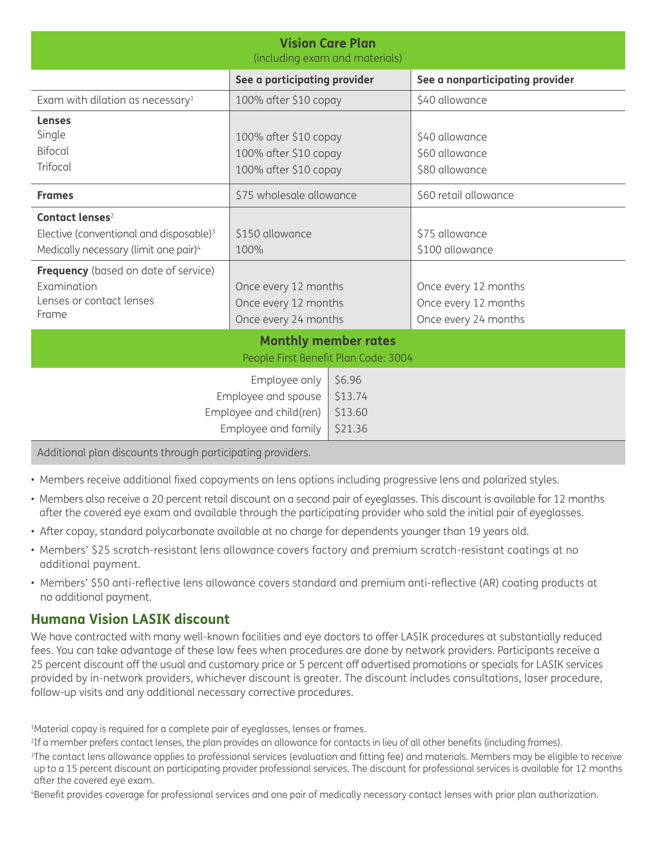| <b>Vision Care Plan</b><br>(including exam and materials)                                                                                                                                                                                  |                                                                                                 |                                         |                                                                                                           |  |  |  |  |
|--------------------------------------------------------------------------------------------------------------------------------------------------------------------------------------------------------------------------------------------|-------------------------------------------------------------------------------------------------|-----------------------------------------|-----------------------------------------------------------------------------------------------------------|--|--|--|--|
| See a participating provider                                                                                                                                                                                                               |                                                                                                 |                                         | See a nonparticipating provider                                                                           |  |  |  |  |
| Exam with dilation as necessary $1$                                                                                                                                                                                                        | 100% after \$10 copay                                                                           |                                         | \$40 allowance                                                                                            |  |  |  |  |
| <b>Lenses</b><br>Single<br><b>Bifocal</b><br>Trifocal                                                                                                                                                                                      | 100% after \$10 copay<br>100% after \$10 copay<br>100% after \$10 copay                         |                                         | \$40 allowance<br>\$60 allowance<br>\$80 allowance                                                        |  |  |  |  |
| <b>Frames</b>                                                                                                                                                                                                                              | \$75 wholesale allowance                                                                        |                                         | \$60 retail allowance                                                                                     |  |  |  |  |
| Contact lenses <sup>2</sup><br>Elective (conventional and disposable) <sup>3</sup><br>Medically necessary (limit one pair) <sup>4</sup><br><b>Frequency</b> (based on date of service)<br>Examination<br>Lenses or contact lenses<br>Frame | \$150 allowance<br>100%<br>Once every 12 months<br>Once every 12 months<br>Once every 24 months |                                         | \$75 allowance<br>\$100 allowance<br>Once every 12 months<br>Once every 12 months<br>Once every 24 months |  |  |  |  |
| <b>Monthly member rates</b>                                                                                                                                                                                                                |                                                                                                 |                                         |                                                                                                           |  |  |  |  |
| People First Benefit Plan Code: 3004                                                                                                                                                                                                       |                                                                                                 |                                         |                                                                                                           |  |  |  |  |
|                                                                                                                                                                                                                                            | Employee only<br>Employee and spouse<br>Employee and child(ren)<br>Employee and family          | \$6.96<br>\$13.74<br>\$13.60<br>\$21.36 |                                                                                                           |  |  |  |  |
| Additional plan discounts through participating providers.                                                                                                                                                                                 |                                                                                                 |                                         |                                                                                                           |  |  |  |  |

• Members receive additional fixed copayments on lens options including progressive lens and polarized styles.

- Members also receive a 20 percent retail discount on a second pair of eyeglasses. This discount is available for 12 months after the covered eye exam and available through the participating provider who sold the initial pair of eyeglasses.
- After copay, standard polycarbonate available at no charge for dependents younger than 19 years old.
- Members' \$25 scratch-resistant lens allowance covers factory and premium scratch-resistant coatings at no additional payment.
- Members' \$50 anti-reflective lens allowance covers standard and premium anti-reflective (AR) coating products at no additional payment.

# **Humana Vision LASIK discount**

We have contracted with many well-known facilities and eye doctors to offer LASIK procedures at substantially reduced fees. You can take advantage of these low fees when procedures are done by network providers. Participants receive a 25 percent discount off the usual and customary price or 5 percent off advertised promotions or specials for LASIK services provided by in-network providers, whichever discount is greater. The discount includes consultations, laser procedure, follow-up visits and any additional necessary corrective procedures.

<sup>1</sup>Material copay is required for a complete pair of eyeglasses, lenses or frames.

<sup>2</sup>If a member prefers contact lenses, the plan provides an allowance for contacts in lieu of all other benefits (including frames).

<sup>3</sup>The contact lens allowance applies to professional services (evaluation and fitting fee) and materials. Members may be eligible to receive up to a 15 percent discount on participating provider professional services. The discount for professional services is available for 12 months after the covered eye exam.

4Benefit provides coverage for professional services and one pair of medically necessary contact lenses with prior plan authorization.